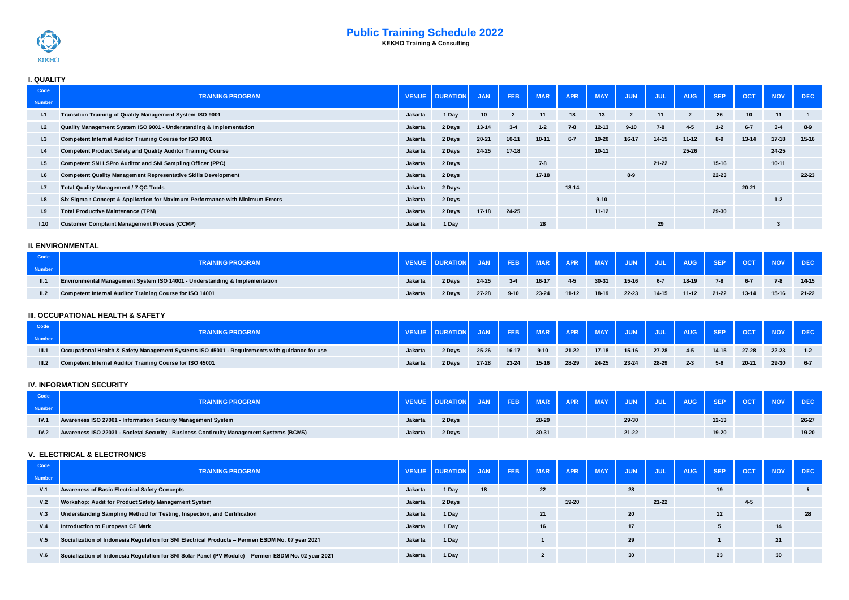

# **Public Training Schedule 2022**

 **KEKHO Training & Consulting**

# **I. QUALITY**

| Code          | <b>TRAINING PROGRAM</b>                                                      |                | <b>VENUE DURATION</b> | <b>JAN</b> | <b>FEB</b> | <b>MAR</b> | <b>APR</b> | <b>MAY</b> | <b>JUN</b> | <b>JUL</b> | <b>AUG</b>     | <b>SEP</b> | <b>OCT</b> | <b>NOV</b> | <b>DEC</b> |
|---------------|------------------------------------------------------------------------------|----------------|-----------------------|------------|------------|------------|------------|------------|------------|------------|----------------|------------|------------|------------|------------|
| <b>Number</b> |                                                                              |                |                       |            |            |            |            |            |            |            |                |            |            |            |            |
| 1.1           | Transition Training of Quality Management System ISO 9001                    | Jakarta        | 1 Day                 | 10         | -2         | 11         | 18         | 13         |            | 11         | $\overline{2}$ | 26         | 10         | 11         |            |
| 1.2           | Quality Management System ISO 9001 - Understanding & Implementation          | Jakarta        | 2 Days                | $13 - 14$  | $3 - 4$    | $1 - 2$    | $7 - 8$    | $12 - 13$  | $9 - 10$   | $7 - 8$    | $4 - 5$        | $1 - 2$    | $6 - 7$    | $3 - 4$    | $8-9$      |
| 1.3           | Competent Internal Auditor Training Course for ISO 9001                      | Jakarta        | 2 Days                | $20 - 21$  | $10 - 11$  | $10 - 11$  | $6 - 7$    | 19-20      | 16-17      | 14-15      | $11 - 12$      | $8 - 9$    | $13 - 14$  | $17 - 18$  | $15 - 16$  |
| 1.4           | <b>Competent Product Safety and Quality Auditor Training Course</b>          | <b>Jakarta</b> | 2 Days                | 24-25      | $17 - 18$  |            |            | $10 - 11$  |            |            | 25-26          |            |            | 24-25      |            |
| 1.5           | Competent SNI LSPro Auditor and SNI Sampling Officer (PPC)                   | Jakarta        | 2 Days                |            |            | $7 - 8$    |            |            |            | $21 - 22$  |                | 15-16      |            | $10 - 11$  |            |
| 1.6           | <b>Competent Quality Management Representative Skills Development</b>        | Jakarta        | 2 Days                |            |            | $17 - 18$  |            |            | $8 - 9$    |            |                | 22-23      |            |            | 22-23      |
| 1.7           | <b>Total Quality Management / 7 QC Tools</b>                                 | Jakarta        | 2 Days                |            |            |            | $13 - 14$  |            |            |            |                |            | $20 - 21$  |            |            |
| 1.8           | Six Sigma: Concept & Application for Maximum Performance with Minimum Errors | Jakarta        | 2 Days                |            |            |            |            | $9 - 10$   |            |            |                |            |            | $1 - 2$    |            |
| 1.9           | <b>Total Productive Maintenance (TPM)</b>                                    | Jakarta        | 2 Days                | $17 - 18$  | 24-25      |            |            | $11 - 12$  |            |            |                | 29-30      |            |            |            |
| 1.10          | <b>Customer Complaint Management Process (CCMP)</b>                          | <b>Jakarta</b> | 1 Day                 |            |            | 28         |            |            |            | 29         |                |            |            |            |            |

#### **II. ENVIRONMENTAL**

| Code<br><b>Number</b> | <b>TRAINING PROGRAM</b>                                                    |                |        | <b>JAN</b> | FEB <sub>I</sub> |       |           |         |           |         |           |           | MAR APR MAY JUN JUL AUG SEP OCT NOV DEC |         |           |
|-----------------------|----------------------------------------------------------------------------|----------------|--------|------------|------------------|-------|-----------|---------|-----------|---------|-----------|-----------|-----------------------------------------|---------|-----------|
| II.1                  | Environmental Management System ISO 14001 - Understanding & Implementation | Jakarta        | 2 Days | 24-25      | $3 - 4$          | 16-17 | 4-5       | 30-31   | $15-16$   | $6 - 7$ | 18-19     | $7 - 8$   | $6 - 7$                                 | $7-8$   | 14-15     |
| II.2                  | Competent Internal Auditor Training Course for ISO 14001                   | <b>Jakarta</b> | 2 Days | $27 - 28$  | $9 - 10$         | 23-24 | $11 - 12$ | $18-19$ | $22 - 23$ | 14-15   | $11 - 12$ | $21 - 22$ | $13 - 14$                               | $15-16$ | $21 - 22$ |

### **III. OCCUPATIONAL HEALTH & SAFETY**

| Code<br><b>Number</b> | <b>TRAINING PROGRAM</b>                                                                        |         | <b>VENUE DURATION</b> |           |           |          | FEB   MAR   APR   MAY   JUN   JUL   AUG   SEP   OCT   NOV   DEC |           |           |           |         |       |           |       |         |
|-----------------------|------------------------------------------------------------------------------------------------|---------|-----------------------|-----------|-----------|----------|-----------------------------------------------------------------|-----------|-----------|-----------|---------|-------|-----------|-------|---------|
| III.1                 | Occupational Health & Safety Management Systems ISO 45001 - Requirements with guidance for use | Jakarta | 2 Days                | 25-26     | $16 - 17$ | $9 - 10$ | $21 - 22$                                                       | $17 - 18$ | $15 - 16$ | $27 - 28$ | $4 - 5$ | 14-15 | $27 - 28$ | 22-23 | $1 - 2$ |
| III.2                 | Competent Internal Auditor Training Course for ISO 45001                                       | Jakarta | 2 Days                | $27 - 28$ | $23 - 24$ | $15-16$  | 28-29                                                           | 24-25     | 23-24     | 28-29     | $2 - 3$ | $5-6$ | $20 - 21$ | 29-30 | $6 - 7$ |

# **IV. INFORMATION SECURITY**

| Code   | <b>TRAINING PROGRAM</b>                                                                 |         |        |  |       | MAR APR |           | MAY JUN JUL AUG I | SEP <sub>I</sub> | $-$ OCT $-$ | NOV DEC |       |
|--------|-----------------------------------------------------------------------------------------|---------|--------|--|-------|---------|-----------|-------------------|------------------|-------------|---------|-------|
| Number |                                                                                         |         |        |  |       |         |           |                   |                  |             |         |       |
| IV.1   | Awareness ISO 27001 - Information Security Management System                            | Jakarta | 2 Davs |  | 28-29 |         | 29-30     |                   | $12 - 13$        |             |         | 26-27 |
| IV.2   | Awareness ISO 22031 - Societal Security - Business Continuity Management Systems (BCMS) | Jakarta | 2 Days |  | 30-31 |         | $21 - 22$ |                   | 19-20            |             |         | 19-20 |

#### **V. ELECTRICAL & ELECTRONICS**

| Code<br><b>Number</b> | <b>TRAINING PROGRAM</b>                                                                              |                | VENUE DURATION JAN |    | <b>FEB</b> | MAR <sup>I</sup> | <b>APR</b> | <b>MAY</b> | <b>JUN</b> | JUL <sub>1</sub> | <b>AUG</b> | <b>SEP</b> | <b>OCT</b> | <b>NOV</b> | DEC. |
|-----------------------|------------------------------------------------------------------------------------------------------|----------------|--------------------|----|------------|------------------|------------|------------|------------|------------------|------------|------------|------------|------------|------|
| V.1                   | <b>Awareness of Basic Electrical Safety Concepts</b>                                                 | <b>Jakarta</b> | 1 Day              | 18 |            | 22               |            |            | 28         |                  |            | 19         |            |            |      |
| V.2                   | Workshop: Audit for Product Safety Management System                                                 | Jakarta        | 2 Days             |    |            |                  | 19-20      |            |            | $21 - 22$        |            |            | $4-5$      |            |      |
| V.3                   | Understanding Sampling Method for Testing, Inspection, and Certification                             | Jakarta        | 1 Day              |    |            | 21               |            |            | 20         |                  |            | 12         |            |            | 28   |
| V.4                   | Introduction to European CE Mark                                                                     | Jakarta        | 1 Day              |    |            | 16               |            |            | 17         |                  |            |            |            | 14         |      |
| V.5                   | Socialization of Indonesia Regulation for SNI Electrical Products - Permen ESDM No. 07 year 2021     | <b>Jakarta</b> | 1 Day              |    |            |                  |            |            | 29         |                  |            |            |            | 21         |      |
| V.6                   | Socialization of Indonesia Regulation for SNI Solar Panel (PV Module) - Permen ESDM No. 02 year 2021 | <b>Jakarta</b> | 1 Day              |    |            |                  |            |            | 30         |                  |            | 23         |            | 30         |      |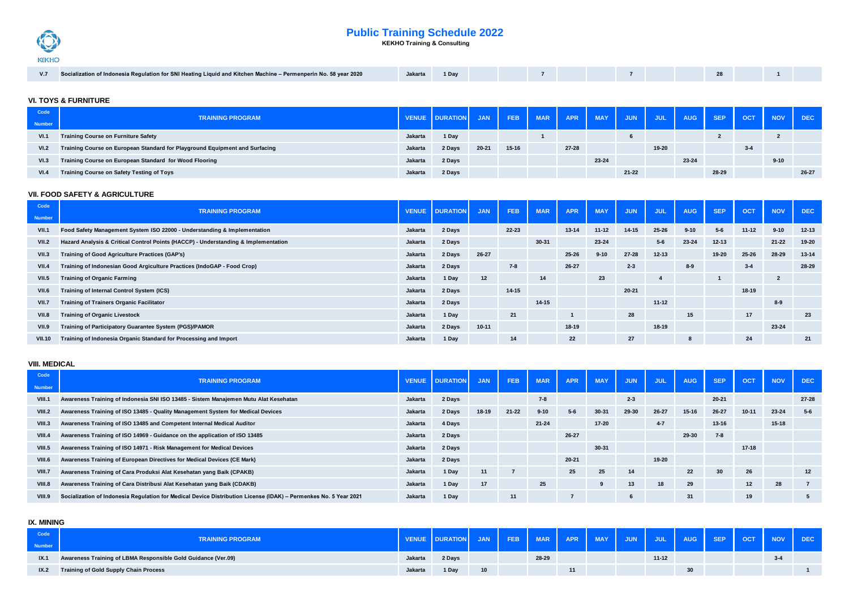# **Public Training Schedule 2022**



 **KEKHO Training & Consulting**

| Socialization of Indonesia Regulation for SNI Heating Liquid and Kitchen Machine – Permenperin No. 58 year 2020 | Jakarta | 1 Dav |  |  |  |  |  |  |  |  |  |  |  |
|-----------------------------------------------------------------------------------------------------------------|---------|-------|--|--|--|--|--|--|--|--|--|--|--|
|-----------------------------------------------------------------------------------------------------------------|---------|-------|--|--|--|--|--|--|--|--|--|--|--|

### **VI. TOYS & FURNITURE**

| Code          | <b>TRAINING PROGRAM</b>                                                     |                | <b>VENUE DURATION</b> | <b>JAN</b> |           | FEB MAR APR MAY |       |       | <b>JUN</b> |       |       |       | JUL AUG SEP OCT NOV DEC |          |       |
|---------------|-----------------------------------------------------------------------------|----------------|-----------------------|------------|-----------|-----------------|-------|-------|------------|-------|-------|-------|-------------------------|----------|-------|
| <b>Number</b> |                                                                             |                |                       |            |           |                 |       |       |            |       |       |       |                         |          |       |
| VI.1          | <b>Training Course on Furniture Safety</b>                                  | <b>Jakarta</b> | 1 Day                 |            |           |                 |       |       |            |       |       |       |                         |          |       |
| VI.2          | Training Course on European Standard for Playground Equipment and Surfacing | Jakarta        | 2 Days                | $20 - 21$  | $15 - 16$ |                 | 27-28 |       |            | 19-20 |       |       | $3-4$                   |          |       |
| VI.3          | Training Course on European Standard for Wood Flooring                      | Jakarta        | 2 Days                |            |           |                 |       | 23-24 |            |       | 23-24 |       |                         | $9 - 10$ |       |
| VI.4          | <b>Training Course on Safety Testing of Toys</b>                            | Jakarta        | 2 Days                |            |           |                 |       |       | 21-22      |       |       | 28-29 |                         |          | 26-27 |

#### **VII. FOOD SAFETY & AGRICULTURE**

| Code<br><b>Number</b> | <b>TRAINING PROGRAM</b>                                                            |         | <b>VENUE DURATION</b> | <b>JAN</b> | <b>FEB</b> | <b>MAR</b> | <b>APR</b> | <b>MAY</b> | <b>JUN</b> | <b>JUL</b> | <b>AUG</b> | <b>SEP</b> | <b>OCT</b> | <b>NOV</b>     | <b>DEC</b> |
|-----------------------|------------------------------------------------------------------------------------|---------|-----------------------|------------|------------|------------|------------|------------|------------|------------|------------|------------|------------|----------------|------------|
| <b>VII.1</b>          | Food Safety Management System ISO 22000 - Understanding & Implementation           | Jakarta | 2 Days                |            | 22-23      |            | $13 - 14$  | $11 - 12$  | 14-15      | $25 - 26$  | $9 - 10$   | $5 - 6$    | $11 - 12$  | $9 - 10$       | $12 - 13$  |
| <b>VII.2</b>          | Hazard Analysis & Critical Control Points (HACCP) - Understanding & Implementation | Jakarta | 2 Days                |            |            | $30 - 31$  |            | 23-24      |            | $5-6$      | 23-24      | $12 - 13$  |            | $21 - 22$      | 19-20      |
| VII.3                 | <b>Training of Good Agriculture Practices (GAP's)</b>                              | Jakarta | 2 Days                | $26 - 27$  |            |            | 25-26      | $9 - 10$   | 27-28      | $12 - 13$  |            | 19-20      | $25 - 26$  | 28-29          | $13 - 14$  |
| <b>VII.4</b>          | Training of Indonesian Good Argiculture Practices (IndoGAP - Food Crop)            | Jakarta | 2 Days                |            | $7 - 8$    |            | 26-27      |            | $2-3$      |            | $8-9$      |            | $3 - 4$    |                | 28-29      |
| <b>VII.5</b>          | <b>Training of Organic Farming</b>                                                 | Jakarta | 1 Day                 | 12         |            | 14         |            | 23         |            |            |            |            |            | $\overline{2}$ |            |
| VII.6                 | Training of Internal Control System (ICS)                                          | Jakarta | 2 Days                |            | $14 - 15$  |            |            |            | $20 - 21$  |            |            |            | $18 - 19$  |                |            |
| <b>VII.7</b>          | <b>Training of Trainers Organic Facilitator</b>                                    | Jakarta | 2 Days                |            |            | 14-15      |            |            |            | $11 - 12$  |            |            |            | $8-9$          |            |
| <b>VII.8</b>          | <b>Training of Organic Livestock</b>                                               | Jakarta | 1 Day                 |            | 21         |            |            |            | 28         |            | 15         |            | 17         |                | 23         |
| <b>VII.9</b>          | Training of Participatory Guarantee System (PGS)/PAMOR                             | Jakarta | 2 Days                | $10 - 11$  |            |            | 18-19      |            |            | 18-19      |            |            |            | 23-24          |            |
| <b>VII.10</b>         | Training of Indonesia Organic Standard for Processing and Import                   | Jakarta | 1 Day                 |            | 14         |            | 22         |            | 27         |            | 8          |            | 24         |                | 21         |

#### **VIII. MEDICAL**

| Code<br><b>Number</b> | <b>TRAINING PROGRAM</b>                                                                                          |         | <b>VENUE DURATION</b> | <b>JAN</b> | <b>FEB</b> | <b>MAR</b> | <b>APR</b> | <b>MAY</b> | <b>JUN</b> | <b>JUL</b> | <b>AUG</b> | <b>SEP</b> | <b>OCT</b> | <b>NOV</b> | <b>DEC</b> |
|-----------------------|------------------------------------------------------------------------------------------------------------------|---------|-----------------------|------------|------------|------------|------------|------------|------------|------------|------------|------------|------------|------------|------------|
| <b>VIII.1</b>         | Awareness Training of Indonesia SNI ISO 13485 - Sistem Manajemen Mutu Alat Kesehatan                             | Jakarta | 2 Days                |            |            | $7 - 8$    |            |            | $2 - 3$    |            |            | $20 - 21$  |            |            | $27 - 28$  |
| VIII.2                | Awareness Training of ISO 13485 - Quality Management System for Medical Devices                                  | Jakarta | 2 Days                | 18-19      | $21 - 22$  | $9 - 10$   | $5 - 6$    | 30-31      | 29-30      | 26-27      | $15 - 16$  | 26-27      | $10 - 11$  | 23-24      | $5 - 6$    |
| VIII.3                | Awareness Training of ISO 13485 and Competent Internal Medical Auditor                                           | Jakarta | 4 Days                |            |            | $21 - 24$  |            | 17-20      |            | $4 - 7$    |            | $13 - 16$  |            | $15 - 18$  |            |
| VIII.4                | Awareness Training of ISO 14969 - Guidance on the application of ISO 13485                                       | Jakarta | 2 Days                |            |            |            | $26 - 27$  |            |            |            | 29-30      | $7 - 8$    |            |            |            |
| <b>VIII.5</b>         | Awareness Training of ISO 14971 - Risk Management for Medical Devices                                            | Jakarta | 2 Days                |            |            |            |            | 30-31      |            |            |            |            | $17 - 18$  |            |            |
| VIII.6                | Awareness Training of European Directives for Medical Devices (CE Mark)                                          | Jakarta | 2 Days                |            |            |            | $20 - 21$  |            |            | 19-20      |            |            |            |            |            |
| VIII.7                | Awareness Training of Cara Produksi Alat Kesehatan yang Baik (CPAKB)                                             | Jakarta | 1 Day                 | 11         |            |            | 25         | 25         | 14         |            | 22         | 30         | 26         |            | 12         |
| VIII.8                | Awareness Training of Cara Distribusi Alat Kesehatan yang Baik (CDAKB)                                           | Jakarta | 1 Day                 | 17         |            | 25         |            |            | 13         | 18         | 29         |            | 12         | 28         |            |
| <b>VIII.9</b>         | Socialization of Indonesia Regulation for Medical Device Distribution License (IDAK) - Permenkes No. 5 Year 2021 | Jakarta | 1 Day                 |            | 11         |            |            |            |            |            | 31         |            | 19         |            |            |

#### **IX. MINING**

| Code | <b>TRAINING PROGRAM</b>                                       |                | <b>VENUE DURATION</b> | JAN | FEB MAR APR MAY JUN JUL AUG SEP OCT NOV DEC |       |  |           |    |  |         |  |
|------|---------------------------------------------------------------|----------------|-----------------------|-----|---------------------------------------------|-------|--|-----------|----|--|---------|--|
| IX.1 | Awareness Training of LBMA Responsible Gold Guidance (Ver.09) | Jakarta        | 2 Days                |     |                                             | 28-29 |  | $11 - 12$ |    |  | $3 - 4$ |  |
| IX.2 | <b>Training of Gold Supply Chain Process</b>                  | <b>Jakarta</b> | 1 Dav                 |     |                                             |       |  |           | 30 |  |         |  |